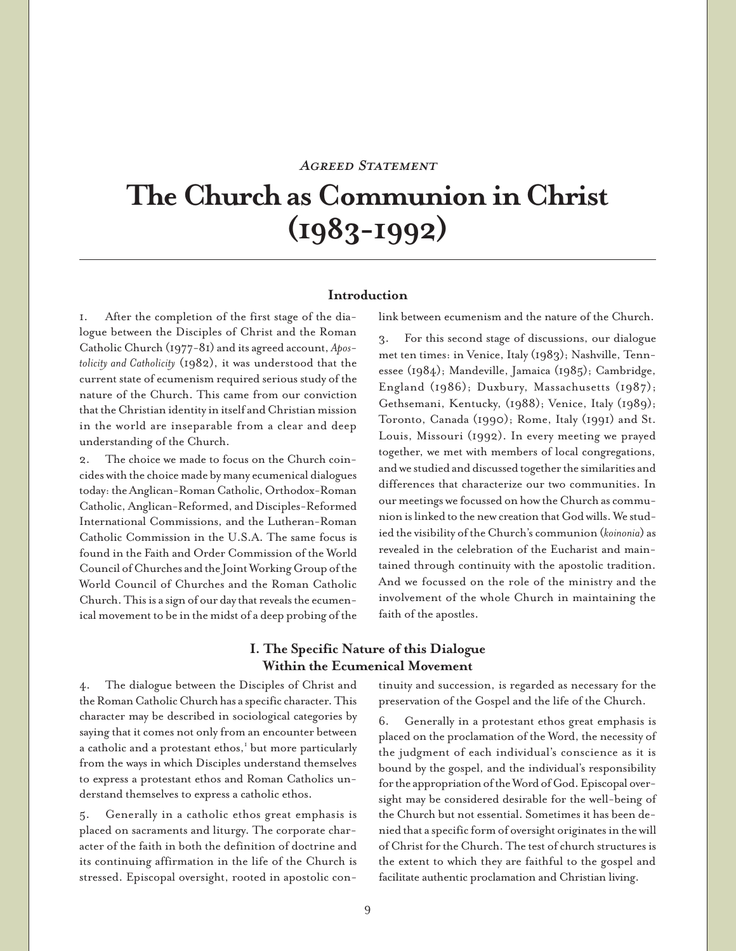# **AGREED STATEMENT**

# **The Church as Communion in Christ (1983-1992)**

#### **Introduction**

1. After the completion of the first stage of the dialogue between the Disciples of Christ and the Roman Catholic Church (1977-81) and its agreed account, *Apostolicity and Catholicity* (1982), it was understood that the current state of ecumenism required serious study of the nature of the Church. This came from our conviction that the Christian identity in itself and Christian mission in the world are inseparable from a clear and deep understanding of the Church.

The choice we made to focus on the Church coincides with the choice made by many ecumenical dialogues today: the Anglican-Roman Catholic, Orthodox-Roman Catholic, Anglican-Reformed, and Disciples-Reformed International Commissions, and the Lutheran-Roman Catholic Commission in the U.S.A. The same focus is found in the Faith and Order Commission of the World Council of Churches and the Joint Working Group of the World Council of Churches and the Roman Catholic Church. This is a sign of our day that reveals the ecumenical movement to be in the midst of a deep probing of the link between ecumenism and the nature of the Church.

3. For this second stage of discussions, our dialogue met ten times: in Venice, Italy (1983); Nashville, Tennessee (1984); Mandeville, Jamaica (1985); Cambridge, England (1986); Duxbury, Massachusetts (1987); Gethsemani, Kentucky, (1988); Venice, Italy (1989); Toronto, Canada (1990); Rome, Italy (1991) and St. Louis, Missouri (1992). In every meeting we prayed together, we met with members of local congregations, and we studied and discussed together the similarities and differences that characterize our two communities. In our meetings we focussed on how the Church as communion is linked to the new creation that God wills. We studied the visibility of the Church's communion (*koinonia*) as revealed in the celebration of the Eucharist and maintained through continuity with the apostolic tradition. And we focussed on the role of the ministry and the involvement of the whole Church in maintaining the faith of the apostles.

# **I. The Specific Nature of this Dialogue Within the Ecumenical Movement**

4. The dialogue between the Disciples of Christ and the Roman Catholic Church has a specific character. This character may be described in sociological categories by saying that it comes not only from an encounter between a catholic and a protestant ethos,<sup>1</sup> but more particularly from the ways in which Disciples understand themselves to express a protestant ethos and Roman Catholics understand themselves to express a catholic ethos.

5. Generally in a catholic ethos great emphasis is placed on sacraments and liturgy. The corporate character of the faith in both the definition of doctrine and its continuing affirmation in the life of the Church is stressed. Episcopal oversight, rooted in apostolic con-

tinuity and succession, is regarded as necessary for the preservation of the Gospel and the life of the Church.

6. Generally in a protestant ethos great emphasis is placed on the proclamation of the Word, the necessity of the judgment of each individual's conscience as it is bound by the gospel, and the individual's responsibility for the appropriation of the Word of God. Episcopal oversight may be considered desirable for the well-being of the Church but not essential. Sometimes it has been denied that a specific form of oversight originates in the will of Christ for the Church. The test of church structures is the extent to which they are faithful to the gospel and facilitate authentic proclamation and Christian living.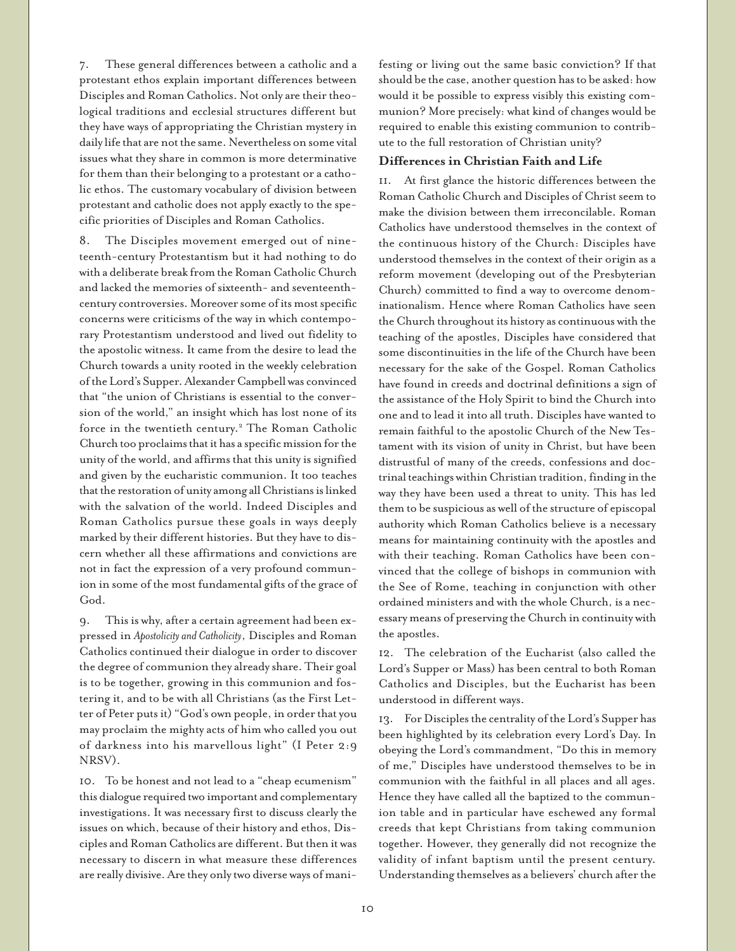7. These general differences between a catholic and a protestant ethos explain important differences between Disciples and Roman Catholics. Not only are their theological traditions and ecclesial structures different but they have ways of appropriating the Christian mystery in daily life that are not the same. Nevertheless on some vital issues what they share in common is more determinative for them than their belonging to a protestant or a catholic ethos. The customary vocabulary of division between protestant and catholic does not apply exactly to the specific priorities of Disciples and Roman Catholics.

8. The Disciples movement emerged out of nineteenth-century Protestantism but it had nothing to do with a deliberate break from the Roman Catholic Church and lacked the memories of sixteenth- and seventeenthcentury controversies. Moreover some of its most specific concerns were criticisms of the way in which contemporary Protestantism understood and lived out fidelity to the apostolic witness. It came from the desire to lead the Church towards a unity rooted in the weekly celebration of the Lord's Supper. Alexander Campbell was convinced that "the union of Christians is essential to the conversion of the world," an insight which has lost none of its force in the twentieth century.<sup>2</sup> The Roman Catholic Church too proclaims that it has a specific mission for the unity of the world, and affirms that this unity is signified and given by the eucharistic communion. It too teaches that the restoration of unity among all Christians is linked with the salvation of the world. Indeed Disciples and Roman Catholics pursue these goals in ways deeply marked by their different histories. But they have to discern whether all these affirmations and convictions are not in fact the expression of a very profound communion in some of the most fundamental gifts of the grace of God.

9. This is why, after a certain agreement had been expressed in *Apostolicity and Catholicity*, Disciples and Roman Catholics continued their dialogue in order to discover the degree of communion they already share. Their goal is to be together, growing in this communion and fostering it, and to be with all Christians (as the First Letter of Peter puts it) "God's own people, in order that you may proclaim the mighty acts of him who called you out of darkness into his marvellous light" (I Peter 2:9 NRSV).

10. To be honest and not lead to a "cheap ecumenism" this dialogue required two important and complementary investigations. It was necessary first to discuss clearly the issues on which, because of their history and ethos, Disciples and Roman Catholics are different. But then it was necessary to discern in what measure these differences are really divisive. Are they only two diverse ways of manifesting or living out the same basic conviction? If that should be the case, another question has to be asked: how would it be possible to express visibly this existing communion? More precisely: what kind of changes would be required to enable this existing communion to contribute to the full restoration of Christian unity?

## **Differences in Christian Faith and Life**

11. At first glance the historic differences between the Roman Catholic Church and Disciples of Christ seem to make the division between them irreconcilable. Roman Catholics have understood themselves in the context of the continuous history of the Church: Disciples have understood themselves in the context of their origin as a reform movement (developing out of the Presbyterian Church) committed to find a way to overcome denominationalism. Hence where Roman Catholics have seen the Church throughout its history as continuous with the teaching of the apostles, Disciples have considered that some discontinuities in the life of the Church have been necessary for the sake of the Gospel. Roman Catholics have found in creeds and doctrinal definitions a sign of the assistance of the Holy Spirit to bind the Church into one and to lead it into all truth. Disciples have wanted to remain faithful to the apostolic Church of the New Testament with its vision of unity in Christ, but have been distrustful of many of the creeds, confessions and doctrinal teachings within Christian tradition, finding in the way they have been used a threat to unity. This has led them to be suspicious as well of the structure of episcopal authority which Roman Catholics believe is a necessary means for maintaining continuity with the apostles and with their teaching. Roman Catholics have been convinced that the college of bishops in communion with the See of Rome, teaching in conjunction with other ordained ministers and with the whole Church, is a necessary means of preserving the Church in continuity with the apostles.

12. The celebration of the Eucharist (also called the Lord's Supper or Mass) has been central to both Roman Catholics and Disciples, but the Eucharist has been understood in different ways.

13. For Disciples the centrality of the Lord's Supper has been highlighted by its celebration every Lord's Day. In obeying the Lord's commandment, "Do this in memory of me," Disciples have understood themselves to be in communion with the faithful in all places and all ages. Hence they have called all the baptized to the communion table and in particular have eschewed any formal creeds that kept Christians from taking communion together. However, they generally did not recognize the validity of infant baptism until the present century. Understanding themselves as a believers' church after the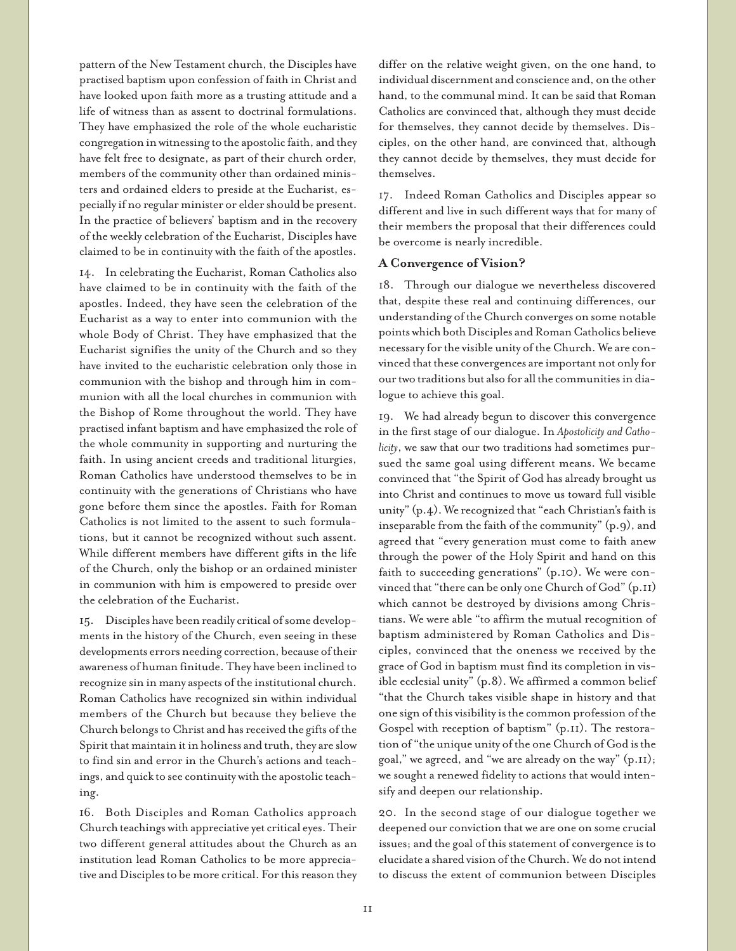pattern of the New Testament church, the Disciples have practised baptism upon confession of faith in Christ and have looked upon faith more as a trusting attitude and a life of witness than as assent to doctrinal formulations. They have emphasized the role of the whole eucharistic congregation in witnessing to the apostolic faith, and they have felt free to designate, as part of their church order, members of the community other than ordained ministers and ordained elders to preside at the Eucharist, especially if no regular minister or elder should be present. In the practice of believers' baptism and in the recovery of the weekly celebration of the Eucharist, Disciples have claimed to be in continuity with the faith of the apostles.

14. In celebrating the Eucharist, Roman Catholics also have claimed to be in continuity with the faith of the apostles. Indeed, they have seen the celebration of the Eucharist as a way to enter into communion with the whole Body of Christ. They have emphasized that the Eucharist signifies the unity of the Church and so they have invited to the eucharistic celebration only those in communion with the bishop and through him in communion with all the local churches in communion with the Bishop of Rome throughout the world. They have practised infant baptism and have emphasized the role of the whole community in supporting and nurturing the faith. In using ancient creeds and traditional liturgies, Roman Catholics have understood themselves to be in continuity with the generations of Christians who have gone before them since the apostles. Faith for Roman Catholics is not limited to the assent to such formulations, but it cannot be recognized without such assent. While different members have different gifts in the life of the Church, only the bishop or an ordained minister in communion with him is empowered to preside over the celebration of the Eucharist.

15. Disciples have been readily critical of some developments in the history of the Church, even seeing in these developments errors needing correction, because of their awareness of human finitude. They have been inclined to recognize sin in many aspects of the institutional church. Roman Catholics have recognized sin within individual members of the Church but because they believe the Church belongs to Christ and has received the gifts of the Spirit that maintain it in holiness and truth, they are slow to find sin and error in the Church's actions and teachings, and quick to see continuity with the apostolic teaching.

16. Both Disciples and Roman Catholics approach Church teachings with appreciative yet critical eyes. Their two different general attitudes about the Church as an institution lead Roman Catholics to be more appreciative and Disciples to be more critical. For this reason they differ on the relative weight given, on the one hand, to individual discernment and conscience and, on the other hand, to the communal mind. It can be said that Roman Catholics are convinced that, although they must decide for themselves, they cannot decide by themselves. Disciples, on the other hand, are convinced that, although they cannot decide by themselves, they must decide for themselves.

17. Indeed Roman Catholics and Disciples appear so different and live in such different ways that for many of their members the proposal that their differences could be overcome is nearly incredible.

#### **A Convergence of Vision?**

18. Through our dialogue we nevertheless discovered that, despite these real and continuing differences, our understanding of the Church converges on some notable points which both Disciples and Roman Catholics believe necessary for the visible unity of the Church. We are convinced that these convergences are important not only for our two traditions but also for all the communities in dialogue to achieve this goal.

19. We had already begun to discover this convergence in the first stage of our dialogue. In *Apostolicity and Catholicity*, we saw that our two traditions had sometimes pursued the same goal using different means. We became convinced that "the Spirit of God has already brought us into Christ and continues to move us toward full visible unity" (p.4). We recognized that "each Christian's faith is inseparable from the faith of the community" (p.9), and agreed that "every generation must come to faith anew through the power of the Holy Spirit and hand on this faith to succeeding generations" (p.10). We were convinced that "there can be only one Church of God" (p.11) which cannot be destroyed by divisions among Christians. We were able "to affirm the mutual recognition of baptism administered by Roman Catholics and Disciples, convinced that the oneness we received by the grace of God in baptism must find its completion in visible ecclesial unity" (p.8). We affirmed a common belief "that the Church takes visible shape in history and that one sign of this visibility is the common profession of the Gospel with reception of baptism" (p.11). The restoration of "the unique unity of the one Church of God is the goal," we agreed, and "we are already on the way" (p.11); we sought a renewed fidelity to actions that would intensify and deepen our relationship.

20. In the second stage of our dialogue together we deepened our conviction that we are one on some crucial issues; and the goal of this statement of convergence is to elucidate a shared vision of the Church. We do not intend to discuss the extent of communion between Disciples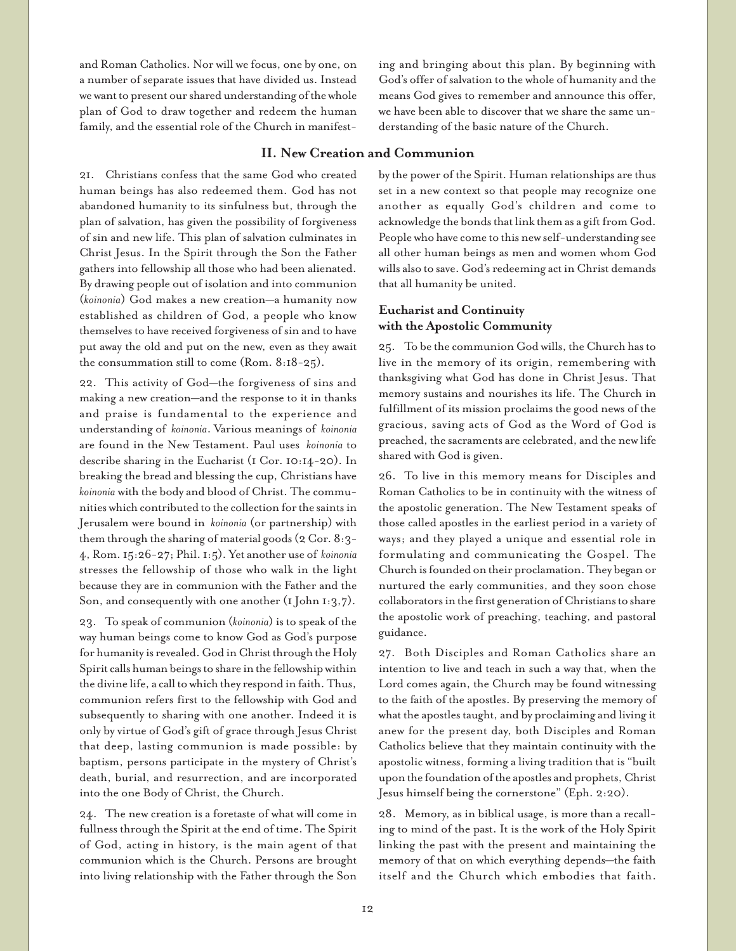and Roman Catholics. Nor will we focus, one by one, on a number of separate issues that have divided us. Instead we want to present our shared understanding of the whole plan of God to draw together and redeem the human family, and the essential role of the Church in manifesting and bringing about this plan. By beginning with God's offer of salvation to the whole of humanity and the means God gives to remember and announce this offer, we have been able to discover that we share the same understanding of the basic nature of the Church.

# **II. New Creation and Communion**

21. Christians confess that the same God who created human beings has also redeemed them. God has not abandoned humanity to its sinfulness but, through the plan of salvation, has given the possibility of forgiveness of sin and new life. This plan of salvation culminates in Christ Jesus. In the Spirit through the Son the Father gathers into fellowship all those who had been alienated. By drawing people out of isolation and into communion (*koinonia*) God makes a new creation—a humanity now established as children of God, a people who know themselves to have received forgiveness of sin and to have put away the old and put on the new, even as they await the consummation still to come (Rom. 8:18-25).

22. This activity of God—the forgiveness of sins and making a new creation—and the response to it in thanks and praise is fundamental to the experience and understanding of *koinonia*. Various meanings of *koinonia* are found in the New Testament. Paul uses *koinonia* to describe sharing in the Eucharist (1 Cor. 10:14-20). In breaking the bread and blessing the cup, Christians have *koinonia* with the body and blood of Christ. The communities which contributed to the collection for the saints in Jerusalem were bound in *koinonia* (or partnership) with them through the sharing of material goods (2 Cor. 8:3- 4, Rom. 15:26-27; Phil. 1:5). Yet another use of *koinonia* stresses the fellowship of those who walk in the light because they are in communion with the Father and the Son, and consequently with one another  $(I_{\text{John I}:3,7})$ .

23. To speak of communion (*koinonia*) is to speak of the way human beings come to know God as God's purpose for humanity is revealed. God in Christ through the Holy Spirit calls human beings to share in the fellowship within the divine life, a call to which they respond in faith. Thus, communion refers first to the fellowship with God and subsequently to sharing with one another. Indeed it is only by virtue of God's gift of grace through Jesus Christ that deep, lasting communion is made possible: by baptism, persons participate in the mystery of Christ's death, burial, and resurrection, and are incorporated into the one Body of Christ, the Church.

24. The new creation is a foretaste of what will come in fullness through the Spirit at the end of time. The Spirit of God, acting in history, is the main agent of that communion which is the Church. Persons are brought into living relationship with the Father through the Son

by the power of the Spirit. Human relationships are thus set in a new context so that people may recognize one another as equally God's children and come to acknowledge the bonds that link them as a gift from God. People who have come to this new self-understanding see all other human beings as men and women whom God wills also to save. God's redeeming act in Christ demands that all humanity be united.

# **Eucharist and Continuity with the Apostolic Community**

25. To be the communion God wills, the Church has to live in the memory of its origin, remembering with thanksgiving what God has done in Christ Jesus. That memory sustains and nourishes its life. The Church in fulfillment of its mission proclaims the good news of the gracious, saving acts of God as the Word of God is preached, the sacraments are celebrated, and the new life shared with God is given.

26. To live in this memory means for Disciples and Roman Catholics to be in continuity with the witness of the apostolic generation. The New Testament speaks of those called apostles in the earliest period in a variety of ways; and they played a unique and essential role in formulating and communicating the Gospel. The Church is founded on their proclamation. They began or nurtured the early communities, and they soon chose collaborators in the first generation of Christians to share the apostolic work of preaching, teaching, and pastoral guidance.

27. Both Disciples and Roman Catholics share an intention to live and teach in such a way that, when the Lord comes again, the Church may be found witnessing to the faith of the apostles. By preserving the memory of what the apostles taught, and by proclaiming and living it anew for the present day, both Disciples and Roman Catholics believe that they maintain continuity with the apostolic witness, forming a living tradition that is "built upon the foundation of the apostles and prophets, Christ Jesus himself being the cornerstone" (Eph. 2:20).

28. Memory, as in biblical usage, is more than a recalling to mind of the past. It is the work of the Holy Spirit linking the past with the present and maintaining the memory of that on which everything depends—the faith itself and the Church which embodies that faith.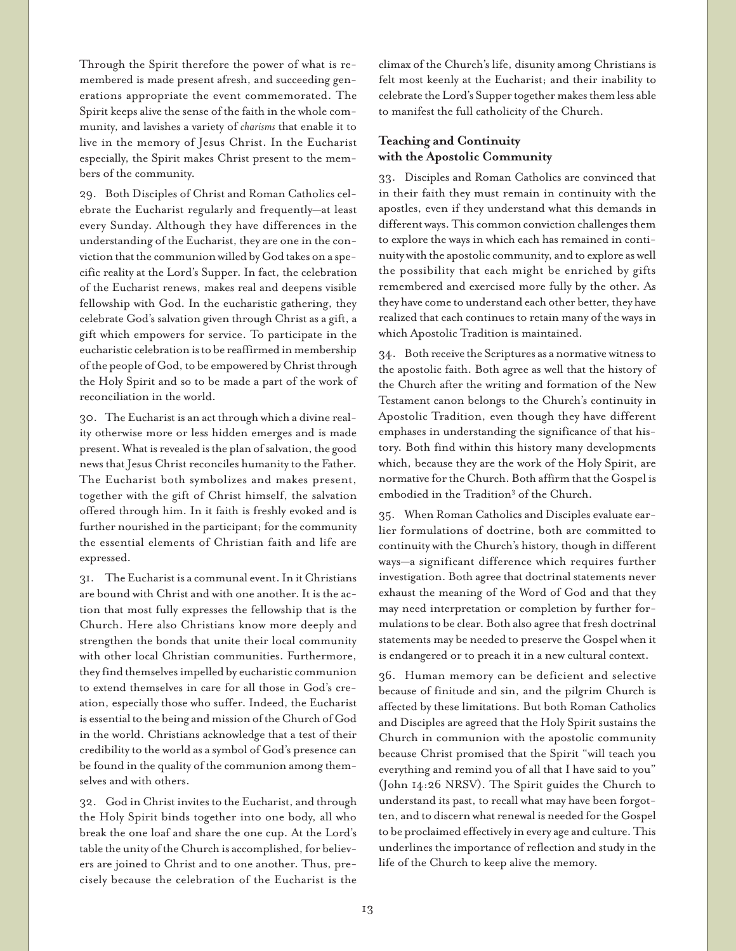Through the Spirit therefore the power of what is remembered is made present afresh, and succeeding generations appropriate the event commemorated. The Spirit keeps alive the sense of the faith in the whole community, and lavishes a variety of *charisms* that enable it to live in the memory of Jesus Christ. In the Eucharist especially, the Spirit makes Christ present to the members of the community.

29. Both Disciples of Christ and Roman Catholics celebrate the Eucharist regularly and frequently—at least every Sunday. Although they have differences in the understanding of the Eucharist, they are one in the conviction that the communion willed by God takes on a specific reality at the Lord's Supper. In fact, the celebration of the Eucharist renews, makes real and deepens visible fellowship with God. In the eucharistic gathering, they celebrate God's salvation given through Christ as a gift, a gift which empowers for service. To participate in the eucharistic celebration is to be reaffirmed in membership of the people of God, to be empowered by Christ through the Holy Spirit and so to be made a part of the work of reconciliation in the world.

30. The Eucharist is an act through which a divine reality otherwise more or less hidden emerges and is made present. What is revealed is the plan of salvation, the good news that Jesus Christ reconciles humanity to the Father. The Eucharist both symbolizes and makes present, together with the gift of Christ himself, the salvation offered through him. In it faith is freshly evoked and is further nourished in the participant; for the community the essential elements of Christian faith and life are expressed.

31. The Eucharist is a communal event. In it Christians are bound with Christ and with one another. It is the action that most fully expresses the fellowship that is the Church. Here also Christians know more deeply and strengthen the bonds that unite their local community with other local Christian communities. Furthermore, they find themselves impelled by eucharistic communion to extend themselves in care for all those in God's creation, especially those who suffer. Indeed, the Eucharist is essential to the being and mission of the Church of God in the world. Christians acknowledge that a test of their credibility to the world as a symbol of God's presence can be found in the quality of the communion among themselves and with others.

32. God in Christ invites to the Eucharist, and through the Holy Spirit binds together into one body, all who break the one loaf and share the one cup. At the Lord's table the unity of the Church is accomplished, for believers are joined to Christ and to one another. Thus, precisely because the celebration of the Eucharist is the climax of the Church's life, disunity among Christians is felt most keenly at the Eucharist; and their inability to celebrate the Lord's Supper together makes them less able to manifest the full catholicity of the Church.

# **Teaching and Continuity with the Apostolic Community**

33. Disciples and Roman Catholics are convinced that in their faith they must remain in continuity with the apostles, even if they understand what this demands in different ways. This common conviction challenges them to explore the ways in which each has remained in continuity with the apostolic community, and to explore as well the possibility that each might be enriched by gifts remembered and exercised more fully by the other. As they have come to understand each other better, they have realized that each continues to retain many of the ways in which Apostolic Tradition is maintained.

34. Both receive the Scriptures as a normative witness to the apostolic faith. Both agree as well that the history of the Church after the writing and formation of the New Testament canon belongs to the Church's continuity in Apostolic Tradition, even though they have different emphases in understanding the significance of that history. Both find within this history many developments which, because they are the work of the Holy Spirit, are normative for the Church. Both affirm that the Gospel is embodied in the Tradition<sup>3</sup> of the Church.

35. When Roman Catholics and Disciples evaluate earlier formulations of doctrine, both are committed to continuity with the Church's history, though in different ways—a significant difference which requires further investigation. Both agree that doctrinal statements never exhaust the meaning of the Word of God and that they may need interpretation or completion by further formulations to be clear. Both also agree that fresh doctrinal statements may be needed to preserve the Gospel when it is endangered or to preach it in a new cultural context.

36. Human memory can be deficient and selective because of finitude and sin, and the pilgrim Church is affected by these limitations. But both Roman Catholics and Disciples are agreed that the Holy Spirit sustains the Church in communion with the apostolic community because Christ promised that the Spirit "will teach you everything and remind you of all that I have said to you" (John 14:26 NRSV). The Spirit guides the Church to understand its past, to recall what may have been forgotten, and to discern what renewal is needed for the Gospel to be proclaimed effectively in every age and culture. This underlines the importance of reflection and study in the life of the Church to keep alive the memory.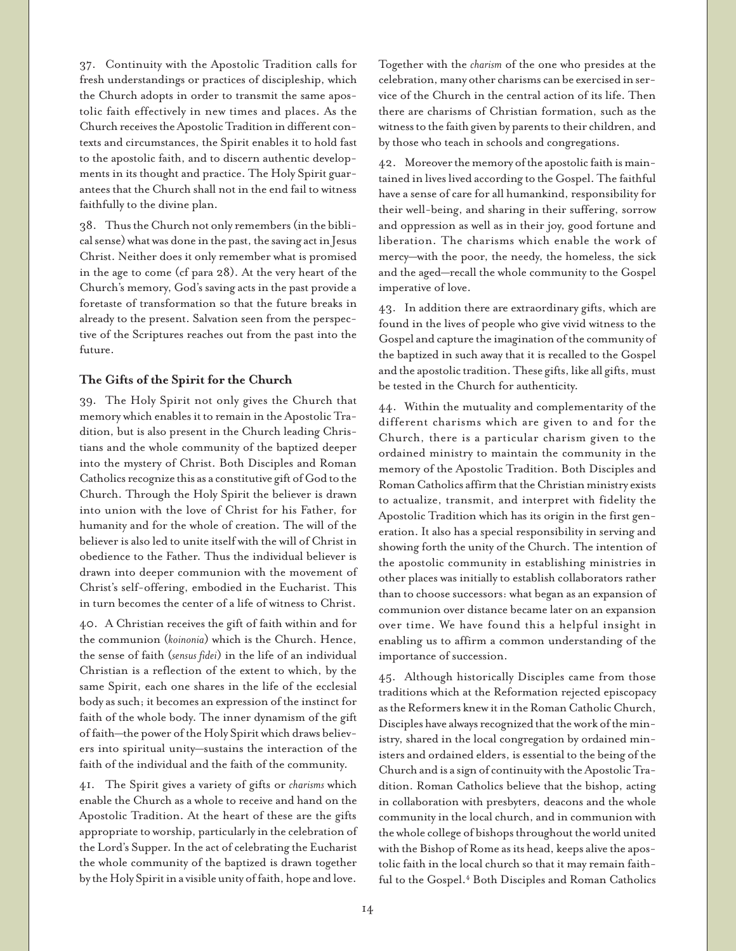37. Continuity with the Apostolic Tradition calls for fresh understandings or practices of discipleship, which the Church adopts in order to transmit the same apostolic faith effectively in new times and places. As the Church receives the Apostolic Tradition in different contexts and circumstances, the Spirit enables it to hold fast to the apostolic faith, and to discern authentic developments in its thought and practice. The Holy Spirit guarantees that the Church shall not in the end fail to witness faithfully to the divine plan.

38. Thus the Church not only remembers (in the biblical sense) what was done in the past, the saving act in Jesus Christ. Neither does it only remember what is promised in the age to come (cf para 28). At the very heart of the Church's memory, God's saving acts in the past provide a foretaste of transformation so that the future breaks in already to the present. Salvation seen from the perspective of the Scriptures reaches out from the past into the future.

## **The Gifts of the Spirit for the Church**

39. The Holy Spirit not only gives the Church that memory which enables it to remain in the Apostolic Tradition, but is also present in the Church leading Christians and the whole community of the baptized deeper into the mystery of Christ. Both Disciples and Roman Catholics recognize this as a constitutive gift of God to the Church. Through the Holy Spirit the believer is drawn into union with the love of Christ for his Father, for humanity and for the whole of creation. The will of the believer is also led to unite itself with the will of Christ in obedience to the Father. Thus the individual believer is drawn into deeper communion with the movement of Christ's self-offering, embodied in the Eucharist. This in turn becomes the center of a life of witness to Christ.

40. A Christian receives the gift of faith within and for the communion (*koinonia*) which is the Church. Hence, the sense of faith (*sensus fidei*) in the life of an individual Christian is a reflection of the extent to which, by the same Spirit, each one shares in the life of the ecclesial body as such; it becomes an expression of the instinct for faith of the whole body. The inner dynamism of the gift of faith—the power of the Holy Spirit which draws believers into spiritual unity—sustains the interaction of the faith of the individual and the faith of the community.

41. The Spirit gives a variety of gifts or *charisms* which enable the Church as a whole to receive and hand on the Apostolic Tradition. At the heart of these are the gifts appropriate to worship, particularly in the celebration of the Lord's Supper. In the act of celebrating the Eucharist the whole community of the baptized is drawn together by the Holy Spirit in a visible unity of faith, hope and love.

Together with the *charism* of the one who presides at the celebration, many other charisms can be exercised in service of the Church in the central action of its life. Then there are charisms of Christian formation, such as the witness to the faith given by parents to their children, and by those who teach in schools and congregations.

42. Moreover the memory of the apostolic faith is maintained in lives lived according to the Gospel. The faithful have a sense of care for all humankind, responsibility for their well-being, and sharing in their suffering, sorrow and oppression as well as in their joy, good fortune and liberation. The charisms which enable the work of mercy—with the poor, the needy, the homeless, the sick and the aged—recall the whole community to the Gospel imperative of love.

43. In addition there are extraordinary gifts, which are found in the lives of people who give vivid witness to the Gospel and capture the imagination of the community of the baptized in such away that it is recalled to the Gospel and the apostolic tradition. These gifts, like all gifts, must be tested in the Church for authenticity.

44. Within the mutuality and complementarity of the different charisms which are given to and for the Church, there is a particular charism given to the ordained ministry to maintain the community in the memory of the Apostolic Tradition. Both Disciples and Roman Catholics affirm that the Christian ministry exists to actualize, transmit, and interpret with fidelity the Apostolic Tradition which has its origin in the first generation. It also has a special responsibility in serving and showing forth the unity of the Church. The intention of the apostolic community in establishing ministries in other places was initially to establish collaborators rather than to choose successors: what began as an expansion of communion over distance became later on an expansion over time. We have found this a helpful insight in enabling us to affirm a common understanding of the importance of succession.

45. Although historically Disciples came from those traditions which at the Reformation rejected episcopacy as the Reformers knew it in the Roman Catholic Church, Disciples have always recognized that the work of the ministry, shared in the local congregation by ordained ministers and ordained elders, is essential to the being of the Church and is a sign of continuity with the Apostolic Tradition. Roman Catholics believe that the bishop, acting in collaboration with presbyters, deacons and the whole community in the local church, and in communion with the whole college of bishops throughout the world united with the Bishop of Rome as its head, keeps alive the apostolic faith in the local church so that it may remain faithful to the Gospel.<sup>4</sup> Both Disciples and Roman Catholics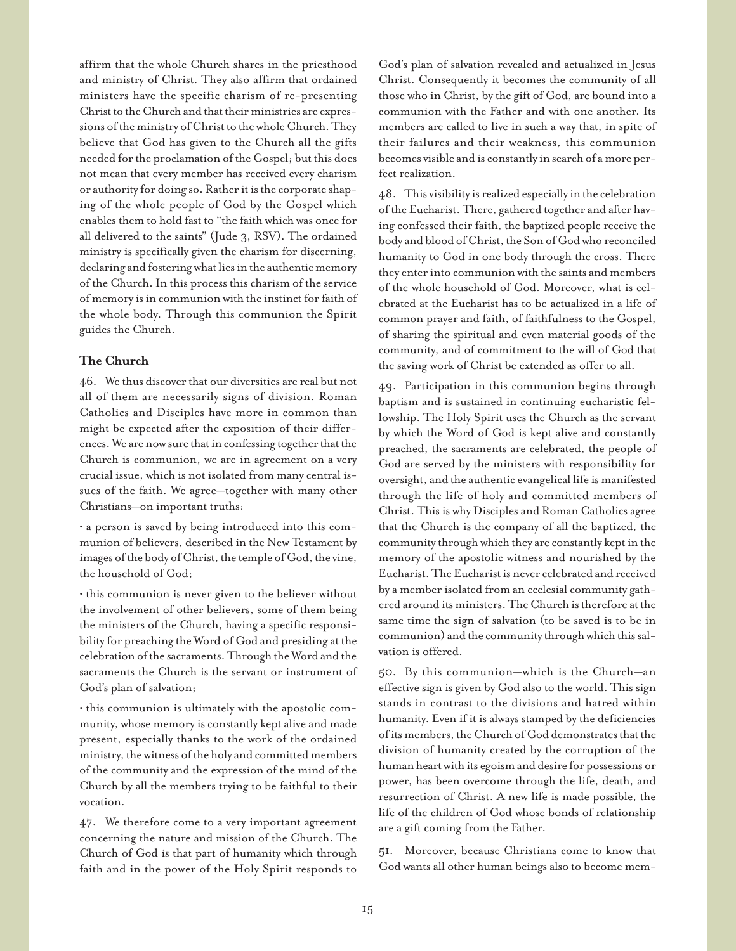affirm that the whole Church shares in the priesthood and ministry of Christ. They also affirm that ordained ministers have the specific charism of re-presenting Christ to the Church and that their ministries are expressions of the ministry of Christ to the whole Church. They believe that God has given to the Church all the gifts needed for the proclamation of the Gospel; but this does not mean that every member has received every charism or authority for doing so. Rather it is the corporate shaping of the whole people of God by the Gospel which enables them to hold fast to "the faith which was once for all delivered to the saints" (Jude 3, RSV). The ordained ministry is specifically given the charism for discerning, declaring and fostering what lies in the authentic memory of the Church. In this process this charism of the service of memory is in communion with the instinct for faith of the whole body. Through this communion the Spirit guides the Church.

## **The Church**

46. We thus discover that our diversities are real but not all of them are necessarily signs of division. Roman Catholics and Disciples have more in common than might be expected after the exposition of their differences. We are now sure that in confessing together that the Church is communion, we are in agreement on a very crucial issue, which is not isolated from many central issues of the faith. We agree—together with many other Christians—on important truths:

• a person is saved by being introduced into this communion of believers, described in the New Testament by images of the body of Christ, the temple of God, the vine, the household of God;

• this communion is never given to the believer without the involvement of other believers, some of them being the ministers of the Church, having a specific responsibility for preaching the Word of God and presiding at the celebration of the sacraments. Through the Word and the sacraments the Church is the servant or instrument of God's plan of salvation;

• this communion is ultimately with the apostolic community, whose memory is constantly kept alive and made present, especially thanks to the work of the ordained ministry, the witness of the holy and committed members of the community and the expression of the mind of the Church by all the members trying to be faithful to their vocation.

47. We therefore come to a very important agreement concerning the nature and mission of the Church. The Church of God is that part of humanity which through faith and in the power of the Holy Spirit responds to

God's plan of salvation revealed and actualized in Jesus Christ. Consequently it becomes the community of all those who in Christ, by the gift of God, are bound into a communion with the Father and with one another. Its members are called to live in such a way that, in spite of their failures and their weakness, this communion becomes visible and is constantly in search of a more perfect realization.

48. This visibility is realized especially in the celebration of the Eucharist. There, gathered together and after having confessed their faith, the baptized people receive the body and blood of Christ, the Son of God who reconciled humanity to God in one body through the cross. There they enter into communion with the saints and members of the whole household of God. Moreover, what is celebrated at the Eucharist has to be actualized in a life of common prayer and faith, of faithfulness to the Gospel, of sharing the spiritual and even material goods of the community, and of commitment to the will of God that the saving work of Christ be extended as offer to all.

49. Participation in this communion begins through baptism and is sustained in continuing eucharistic fellowship. The Holy Spirit uses the Church as the servant by which the Word of God is kept alive and constantly preached, the sacraments are celebrated, the people of God are served by the ministers with responsibility for oversight, and the authentic evangelical life is manifested through the life of holy and committed members of Christ. This is why Disciples and Roman Catholics agree that the Church is the company of all the baptized, the community through which they are constantly kept in the memory of the apostolic witness and nourished by the Eucharist. The Eucharist is never celebrated and received by a member isolated from an ecclesial community gathered around its ministers. The Church is therefore at the same time the sign of salvation (to be saved is to be in communion) and the community through which this salvation is offered.

50. By this communion—which is the Church—an effective sign is given by God also to the world. This sign stands in contrast to the divisions and hatred within humanity. Even if it is always stamped by the deficiencies of its members, the Church of God demonstrates that the division of humanity created by the corruption of the human heart with its egoism and desire for possessions or power, has been overcome through the life, death, and resurrection of Christ. A new life is made possible, the life of the children of God whose bonds of relationship are a gift coming from the Father.

51. Moreover, because Christians come to know that God wants all other human beings also to become mem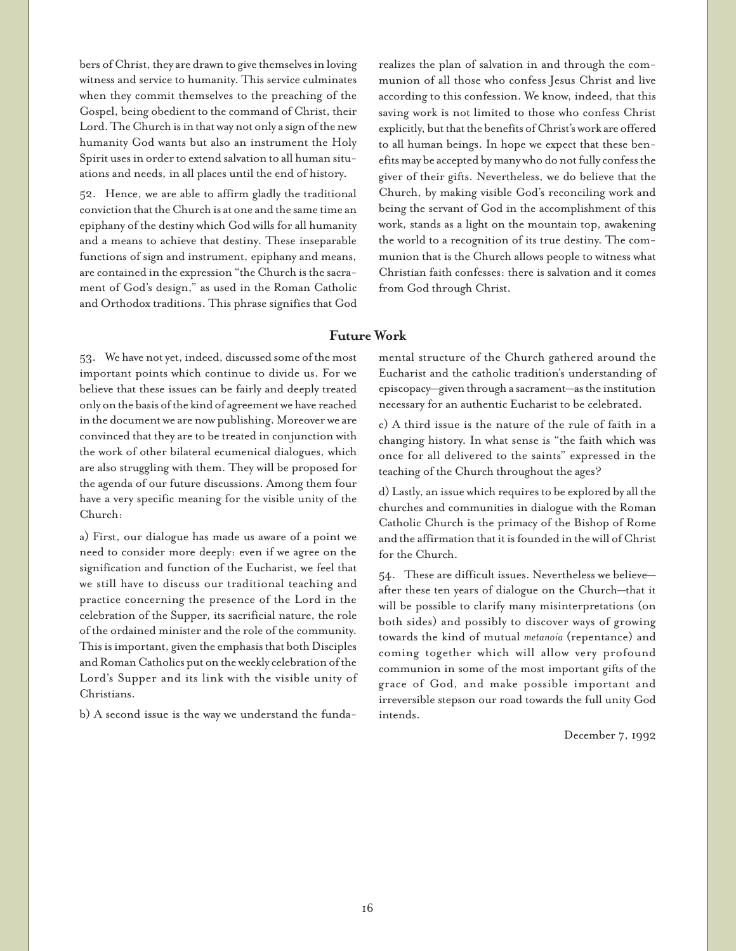bers of Christ, they are drawn to give themselves in loving witness and service to humanity. This service culminates when they commit themselves to the preaching of the Gospel, being obedient to the command of Christ, their Lord. The Church is in that way not only a sign of the new humanity God wants but also an instrument the Holy Spirit uses in order to extend salvation to all human situations and needs, in all places until the end of history.

52. Hence, we are able to affirm gladly the traditional conviction that the Church is at one and the same time an epiphany of the destiny which God wills for all humanity and a means to achieve that destiny. These inseparable functions of sign and instrument, epiphany and means, are contained in the expression "the Church is the sacrament of God's design," as used in the Roman Catholic and Orthodox traditions. This phrase signifies that God realizes the plan of salvation in and through the communion of all those who confess Jesus Christ and live according to this confession. We know, indeed, that this saving work is not limited to those who confess Christ explicitly, but that the benefits of Christ's work are offered to all human beings. In hope we expect that these benefits may be accepted by many who do not fully confess the giver of their gifts. Nevertheless, we do believe that the Church, by making visible God's reconciling work and being the servant of God in the accomplishment of this work, stands as a light on the mountain top, awakening the world to a recognition of its true destiny. The communion that is the Church allows people to witness what Christian faith confesses: there is salvation and it comes from God through Christ.

# **Future Work**

53. We have not yet, indeed, discussed some of the most important points which continue to divide us. For we believe that these issues can be fairly and deeply treated only on the basis of the kind of agreement we have reached in the document we are now publishing. Moreover we are convinced that they are to be treated in conjunction with the work of other bilateral ecumenical dialogues, which are also struggling with them. They will be proposed for the agenda of our future discussions. Among them four have a very specific meaning for the visible unity of the Church:

a) First, our dialogue has made us aware of a point we need to consider more deeply: even if we agree on the signification and function of the Eucharist, we feel that we still have to discuss our traditional teaching and practice concerning the presence of the Lord in the celebration of the Supper, its sacrificial nature, the role of the ordained minister and the role of the community. This is important, given the emphasis that both Disciples and Roman Catholics put on the weekly celebration of the Lord's Supper and its link with the visible unity of Christians.

b) A second issue is the way we understand the funda-

mental structure of the Church gathered around the Eucharist and the catholic tradition's understanding of episcopacy—given through a sacrament—as the institution necessary for an authentic Eucharist to be celebrated.

c) A third issue is the nature of the rule of faith in a changing history. In what sense is "the faith which was once for all delivered to the saints" expressed in the teaching of the Church throughout the ages?

d) Lastly, an issue which requires to be explored by all the churches and communities in dialogue with the Roman Catholic Church is the primacy of the Bishop of Rome and the affirmation that it is founded in the will of Christ for the Church.

54. These are difficult issues. Nevertheless we believe after these ten years of dialogue on the Church—that it will be possible to clarify many misinterpretations (on both sides) and possibly to discover ways of growing towards the kind of mutual *metanoia* (repentance) and coming together which will allow very profound communion in some of the most important gifts of the grace of God, and make possible important and irreversible stepson our road towards the full unity God intends.

December 7, 1992